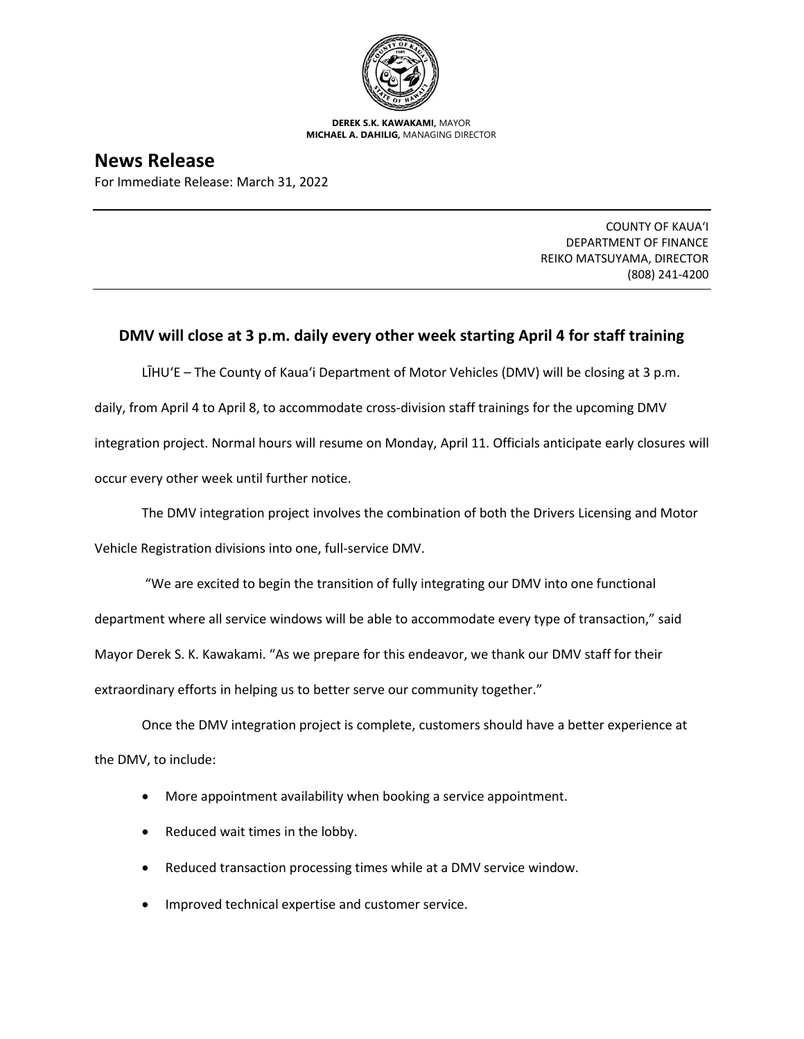

**DEREK S.K. KAWAKAMI,** MAYOR **MICHAEL A. DAHILIG,** MANAGING DIRECTOR

## **News Release**

For Immediate Release: March 31, 2022

COUNTY OF KAUA'I DEPARTMENT OF FINANCE REIKO MATSUYAMA, DIRECTOR (808) 241-4200

## **DMV will close at 3 p.m. daily every other week starting April 4 for staff training**

LĪHU'E – The County of Kaua'i Department of Motor Vehicles (DMV) will be closing at 3 p.m. daily, from April 4 to April 8, to accommodate cross-division staff trainings for the upcoming DMV integration project. Normal hours will resume on Monday, April 11. Officials anticipate early closures will occur every other week until further notice.

The DMV integration project involves the combination of both the Drivers Licensing and Motor

Vehicle Registration divisions into one, full-service DMV.

"We are excited to begin the transition of fully integrating our DMV into one functional

department where all service windows will be able to accommodate every type of transaction," said

Mayor Derek S. K. Kawakami. "As we prepare for this endeavor, we thank our DMV staff for their

extraordinary efforts in helping us to better serve our community together."

Once the DMV integration project is complete, customers should have a better experience at the DMV, to include:

- More appointment availability when booking a service appointment.
- Reduced wait times in the lobby.
- Reduced transaction processing times while at a DMV service window.
- Improved technical expertise and customer service.